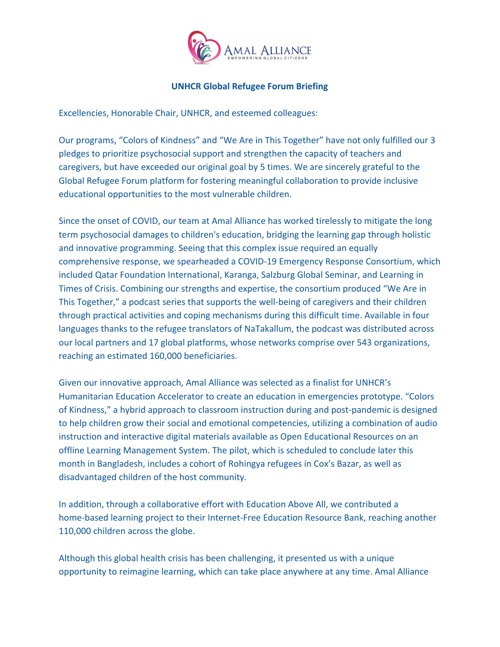

## **UNHCR Global Refugee Forum Briefing**

Excellencies, Honorable Chair, UNHCR, and esteemed colleagues:

Our programs, "Colors of Kindness" and "We Are in This Together" have not only fulfilled our 3 pledges to prioritize psychosocial support and strengthen the capacity of teachers and caregivers, but have exceeded our original goal by 5 times. We are sincerely grateful to the Global Refugee Forum platform for fostering meaningful collaboration to provide inclusive educational opportunities to the most vulnerable children.

Since the onset of COVID, our team at Amal Alliance has worked tirelessly to mitigate the long term psychosocial damages to children's education, bridging the learning gap through holistic and innovative programming. Seeing that this complex issue required an equally comprehensive response, we spearheaded a COVID-19 Emergency Response Consortium, which included Qatar Foundation International, Karanga, Salzburg Global Seminar, and Learning in Times of Crisis. Combining our strengths and expertise, the consortium produced "We Are in This Together," a podcast series that supports the well-being of caregivers and their children through practical activities and coping mechanisms during this difficult time. Available in four languages thanks to the refugee translators of NaTakallum, the podcast was distributed across our local partners and 17 global platforms, whose networks comprise over 543 organizations, reaching an estimated 160,000 beneficiaries.

Given our innovative approach, Amal Alliance was selected as a finalist for UNHCR's Humanitarian Education Accelerator to create an education in emergencies prototype. "Colors of Kindness," a hybrid approach to classroom instruction during and post-pandemic is designed to help children grow their social and emotional competencies, utilizing a combination of audio instruction and interactive digital materials available as Open Educational Resources on an offline Learning Management System. The pilot, which is scheduled to conclude later this month in Bangladesh, includes a cohort of Rohingya refugees in Cox's Bazar, as well as disadvantaged children of the host community.

In addition, through a collaborative effort with Education Above All, we contributed a home-based learning project to their Internet-Free Education Resource Bank, reaching another 110,000 children across the globe.

Although this global health crisis has been challenging, it presented us with a unique opportunity to reimagine learning, which can take place anywhere at any time. Amal Alliance